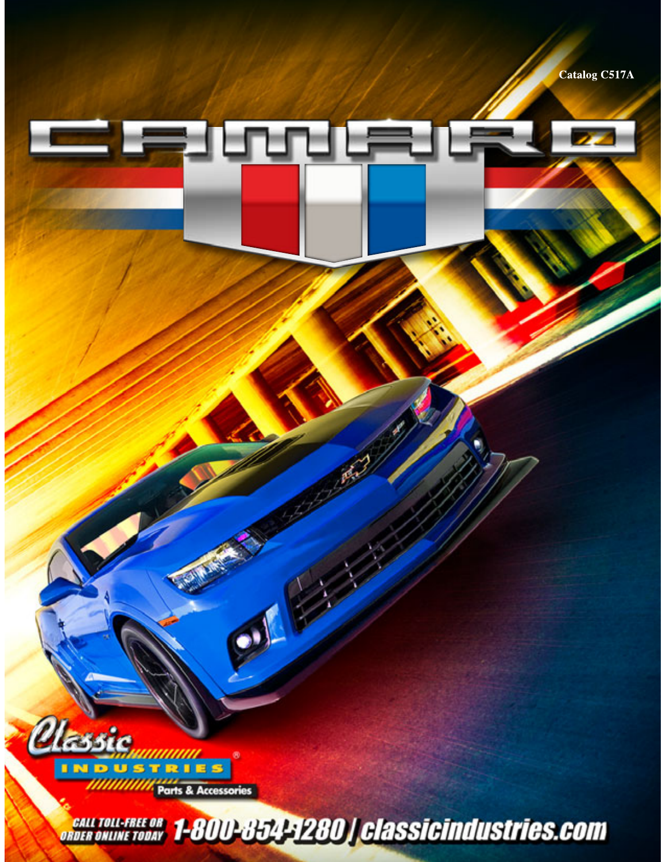Catalog C517A



*CALL TOLL-FREE OR 1-800-854-1280 | classicindustries.com* 

**Experience**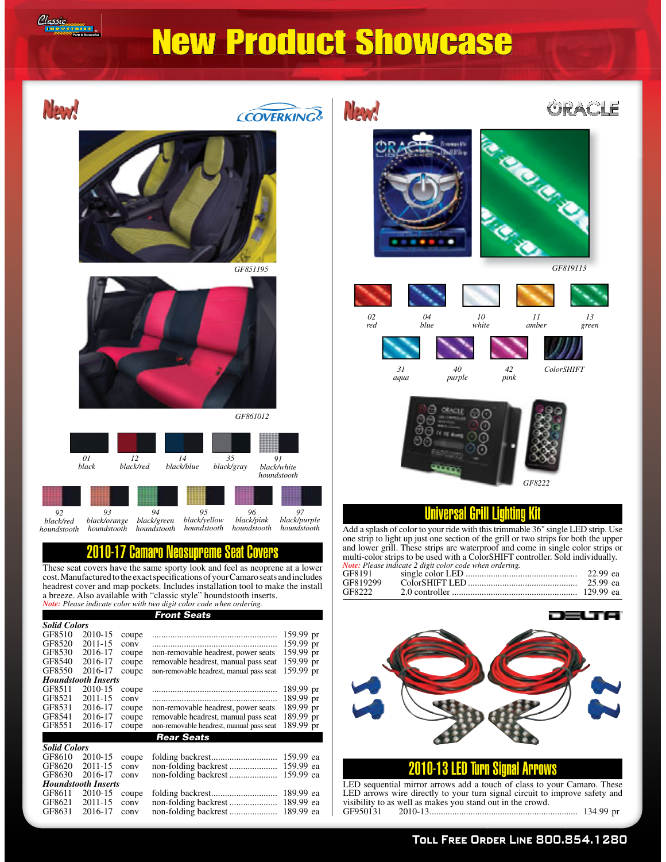

## New Product Showcase



GF8611 2010-15 coupe folding backrest ............................. 189.99 ea GF8621 2011-15 conv non-folding backrest ..................... 189.99 ea GF8631 2016-17 conv non-folding backrest ..................... 189.99 ea

LED sequential mirror arrows add a touch of class to your Camaro. These LED arrows wire directly to your turn signal circuit to improve safety and  $v_{\text{is}}$  is the contracted by the contract of  $\frac{1}{2}$  contracted by  $\frac{1}{2}$  contracted  $\frac{1}{2}$  contracted by  $\frac{1}{2}$  contracted by  $\frac{1}{2}$  contracted by  $\frac{1}{2}$  contracted by  $\frac{1}{2}$  contracted by  $\frac{1}{2}$ GF950131 2010-13 ................................................................. 134.99 pr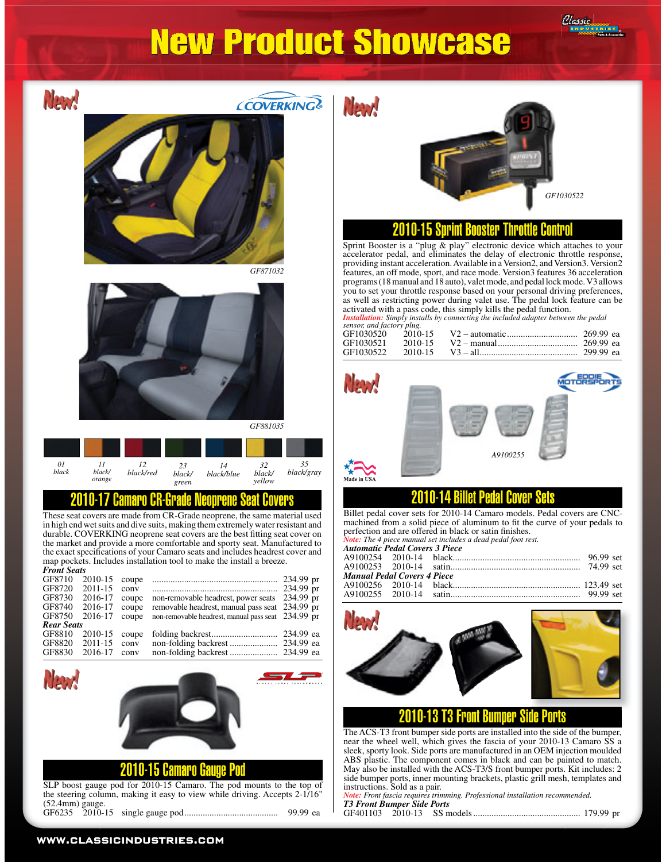# New Product Showcase



SLP boost gauge pod for 2010-15 Camaro. The pod mounts to the top of the steering column, making it easy to view while driving. Accepts 2-1/16" (52.4mm) gauge. GF6235 2010-15 single gauge pod ......................................... 99.99 ea

*GF1030522*

Classic

#### 2010-15 Sprint Booster Throttle Control

Sprint Booster is a "plug & play" electronic device which attaches to your accelerator pedal, and eliminates the delay of electronic throttle response, providing instant acceleration. Available in a Version2, and Version3. Version2 features, an off mode, sport, and race mode. Version3 features 36 acceleration programs (18 manual and 18 auto), valet mode, and pedal lock mode. V3 allows you to set your throttle response based on your personal driving preferences,

| sensor, and factory plug. |         |               |           |
|---------------------------|---------|---------------|-----------|
| GF1030520                 | 2010-15 |               | 269 99 са |
| GF1030521                 | 2010-15 | $V2$ – manual | 269 99 са |
| GF1030522                 | 2010-15 |               |           |



Billet pedal cover sets for 2010-14 Camaro models. Pedal covers are CNCmachined from a solid piece of aluminum to fit the curve of your pedals to

| <b>Automatic Pedal Covers 3 Piece</b> |                        |           |  |
|---------------------------------------|------------------------|-----------|--|
|                                       |                        | 96.99 set |  |
|                                       |                        |           |  |
| Manual Pedal Covers 4 Piece           |                        |           |  |
|                                       |                        |           |  |
|                                       | A9100255 2010-14 satin | 99.99 set |  |



#### 2010-13 T3 Front Bumper Side Ports

The ACS-T3 front bumper side ports are installed into the side of the bumper, near the wheel well, which gives the fascia of your 2010-13 Camaro SS a sleek, sporty look. Side ports are manufactured in an OEM injection moulded ABS plastic. The component comes in black and can be painted to match. May also be installed with the ACS-T3/S front bumper ports. Kit includes: 2 side bumper ports, inner mounting brackets, plastic grill mesh, templates and instructions. Sold as a pair.

| Note: Front fascia requires trimming. Professional installation recommended. |  |  |  |  |
|------------------------------------------------------------------------------|--|--|--|--|
| <b>T3 Front Bumper Side Ports</b>                                            |  |  |  |  |
|                                                                              |  |  |  |  |